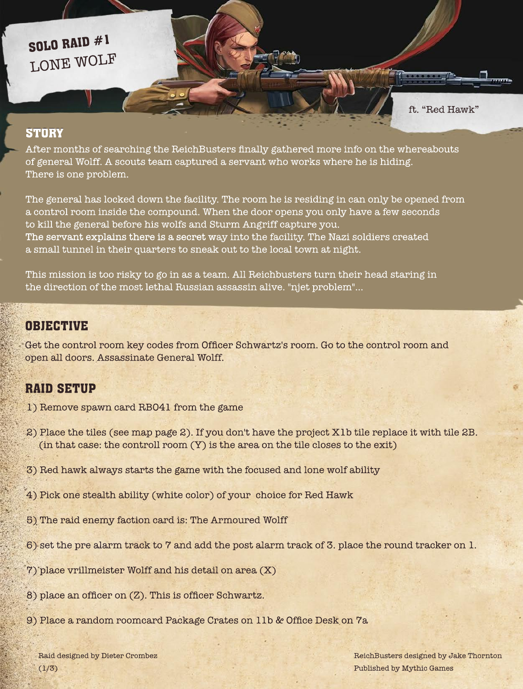After months of searching the ReichBusters finally gathered more info on the whereabouts of general Wolff. A scouts team captured a servant who works where he is hiding. There is one problem.

The general has locked down the facility. The room he is residing in can only be opened from a control room inside the compound. When the door opens you only have a few seconds to kill the general before his wolfs and Sturm Angriff capture you. The servant explains there is a secret way into the facility. The Nazi soldiers created a small tunnel in their quarters to sneak out to the local town at night.

Raid designed by Dieter Crombez  $(1/3)$ 

This mission is too risky to go in as a team. All Reichbusters turn their head staring in the direction of the most lethal Russian assassin alive. "njet problem"...

Get the control room key codes from Officer Schwartz's room. Go to the control room and open all doors. Assassinate General Wolff.

> ReichBusters designed by Jake Thornton Published by Mythic Games

1) Remove spawn card RB041 from the game

2) Place the tiles (see map page 2). If you don't have the project X1b tile replace it with tile 2B. (in that case: the controll room (Y) is the area on the tile closes to the exit)

3) Red hawk always starts the game with the focused and lone wolf ability

- 4) Pick one stealth ability (white color) of your choice for Red Hawk
- 5) The raid enemy faction card is: The Armoured Wolff
- 6) set the pre alarm track to 7 and add the post alarm track of 3. place the round tracker on 1.
- 7) place vrillmeister Wolff and his detail on area (X)
- 8) place an officer on (Z). This is officer Schwartz.
- 9) Place a random roomcard Package Crates on 11b & Office Desk on 7a

ft. "Red Hawk"

#### **STORY**

# LONE WOLF SOLO RAID #1

### OBJECTIVE

## RAID SETUP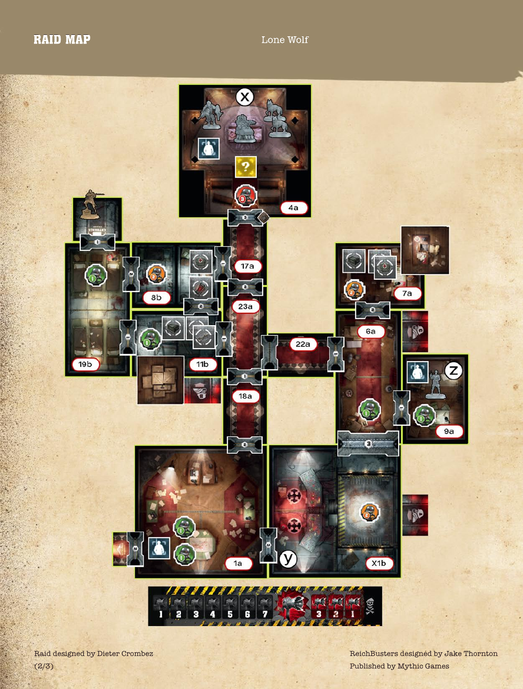## RAID MAP Lone Wolf



Raid designed by Dieter Crombez  $(2/3)$ 

ReichBusters designed by Jake Thornton Published by Mythic Games